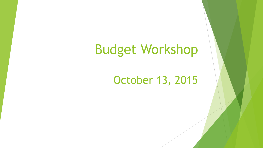# Budget Workshop

October 13, 2015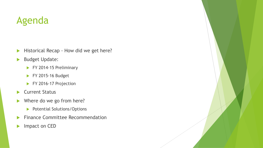# Agenda

- Historical Recap How did we get here?
- Budget Update:
	- FY 2014-15 Preliminary
	- FY 2015-16 Budget
	- FY 2016-17 Projection
- ▶ Current Status
- Where do we go from here?
	- Potential Solutions/Options
- **Finance Committee Recommendation**
- Impact on CED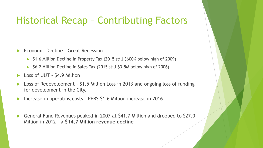#### Historical Recap – Contributing Factors

- Economic Decline Great Recession
	- ▶ \$1.6 Million Decline in Property Tax (2015 still \$600K below high of 2009)
	- $\triangleright$  \$6.2 Million Decline in Sales Tax (2015 still \$3.5M below high of 2006)
- Loss of UUT \$4.9 Million
- ▶ Loss of Redevelopment \$1.5 Million Loss in 2013 and ongoing loss of funding for development in the City.
- Increase in operating costs PERS \$1.6 Million increase in 2016
- General Fund Revenues peaked in 2007 at \$41.7 Million and dropped to \$27.0 Million in 2012 – a **\$14.7 Million revenue decline**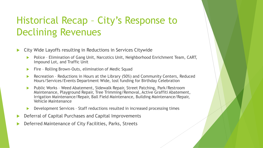# Historical Recap – City's Response to Declining Revenues

- City Wide Layoffs resulting in Reductions in Services Citywide
	- **Police Elimination of Gang Unit, Narcotics Unit, Neighborhood Enrichment Team, CART,** Impound Lot, and Traffic Unit
	- **Fire Rolling Brown-Outs, elimination of Medic Squad**
	- ▶ Recreation Reductions in Hours at the Library (50%) and Community Centers, Reduced Hours/Services/Events Department Wide, lost funding for Birthday Celebration
	- ▶ Public Works Weed Abatement, Sidewalk Repair, Street Patching, Park/Restroom Maintenance, Playground Repair, Tree Trimming/Removal, Active Graffiti Abatement, Irrigation Maintenance/Repair, Ball Field Maintenance, Building Maintenance/Repair, Vehicle Maintenance
	- Development Services Staff reductions resulted in increased processing times
- Deferral of Capital Purchases and Capital Improvements
- Deferred Maintenance of City Facilities, Parks, Streets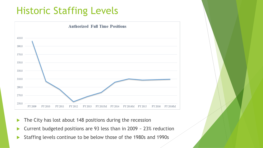# Historic Staffing Levels



- The City has lost about 148 positions during the recession
- ▶ Current budgeted positions are 93 less than in 2009 ~ 23% reduction
- Staffing levels continue to be below those of the 1980s and 1990s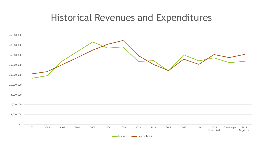#### Historical Revenues and Expenditures

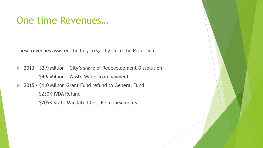#### One time Revenues…

These revenues assisted the City to get by since the Recession:

- ▶ 2013 \$2.9 Million City's share of Redevelopment Dissolution
	- \$4.9 Million Waste Water loan payment
- ▶ 2015 \$1.0 Million Grant Fund refund to General Fund
	- \$230K IVDA Refund
	- \$205K State Mandated Cost Reimbursements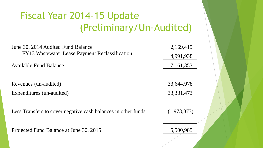# Fiscal Year 2014-15 Update (Preliminary/Un-Audited)

| June 30, 2014 Audited Fund Balance<br>FY13 Wastewater Lease Payment Reclassification | 2,169,415    |
|--------------------------------------------------------------------------------------|--------------|
|                                                                                      | 4,991,938    |
| <b>Available Fund Balance</b>                                                        | 7,161,353    |
|                                                                                      |              |
| Revenues (un-audited)                                                                | 33,644,978   |
| Expenditures (un-audited)                                                            | 33, 331, 473 |
|                                                                                      |              |
| Less Transfers to cover negative cash balances in other funds                        | (1,973,873)  |
|                                                                                      |              |
| Projected Fund Balance at June 30, 2015                                              | 5,500,985    |
|                                                                                      |              |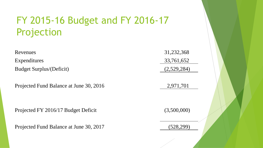# FY 2015-16 Budget and FY 2016-17 Projection

Budget Surplus/(Deficit) (2,529,284)

Projected Fund Balance at June 30, 2016 2,971,701

Projected FY 2016/17 Budget Deficit (3,500,000)

Projected Fund Balance at June 30, 2017 (528,299)

Revenues 31,232,368 Expenditures 33,761,652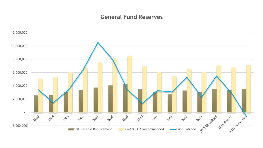#### **General Fund Reserves**

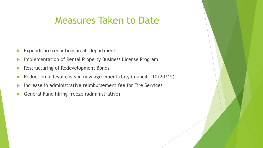#### Measures Taken to Date

- Expenditure reductions in all departments
- Implementation of Rental Property Business License Program
- Restructuring of Redevelopment Bonds
- Reduction in legal costs in new agreement (City Council 10/20/15)
- Increase in administrative reimbursement fee for Fire Services
- General Fund hiring freeze (administrative)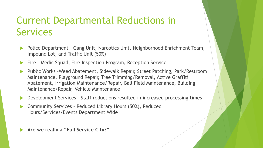# Current Departmental Reductions in Services

- Police Department Gang Unit, Narcotics Unit, Neighborhood Enrichment Team, Impound Lot, and Traffic Unit (50%)
- Fire Medic Squad, Fire Inspection Program, Reception Service
- Public Works –Weed Abatement, Sidewalk Repair, Street Patching, Park/Restroom Maintenance, Playground Repair, Tree Trimming/Removal, Active Graffiti Abatement, Irrigation Maintenance/Repair, Ball Field Maintenance, Building Maintenance/Repair, Vehicle Maintenance
- Development Services Staff reductions resulted in increased processing times
- Community Services Reduced Library Hours (50%), Reduced Hours/Services/Events Department Wide
- **Are we really a "Full Service City?"**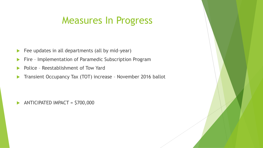#### Measures In Progress

- $\blacktriangleright$  Fee updates in all departments (all by mid-year)
- **Fire Implementation of Paramedic Subscription Program**
- Police Reestablishment of Tow Yard
- **Transient Occupancy Tax (TOT) increase November 2016 ballot**

 $\triangleright$  ANTICIPATED IMPACT = \$700,000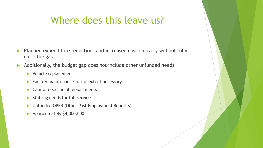#### Where does this leave us?

- Planned expenditure reductions and increased cost recovery will not fully close the gap.
- Additionally, the budget gap does not include other unfunded needs
	- ▶ Vehicle replacement
	- $\blacktriangleright$  Facility maintenance to the extent necessary
	- ▶ Capital needs in all departments
	- $\blacktriangleright$  Staffing needs for full service
	- ▶ Unfunded OPEB (Other Post Employment Benefits)
	- Approximately \$4,000,000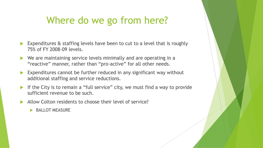## Where do we go from here?

- Expenditures & staffing levels have been to cut to a level that is roughly 75% of FY 2008-09 levels.
- We are maintaining service levels minimally and are operating in a "reactive" manner, rather than "pro-active" for all other needs.
- Expenditures cannot be further reduced in any significant way without additional staffing and service reductions.
- If the City is to remain a "full service" city, we must find a way to provide sufficient revenue to be such.
- Allow Colton residents to choose their level of service?
	- **BALLOT MEASURE**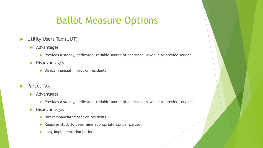# Ballot Measure Options

- Utility Users Tax (UUT)
	- **Advantages** 
		- **Provides a steady, dedicated, reliable source of additional revenue to provide service**
	- **Disadvantages** 
		- Direct financial impact on residents
- Parcel Tax
	- **Advantages** 
		- **Provides a steady, dedicated, reliable source of additional revenue to provide services**
	- **Disadvantages** 
		- Direct financial impact on residents
		- $\blacktriangleright$  Requires study to determine appropriate tax per parcel
		- **Long implementation period**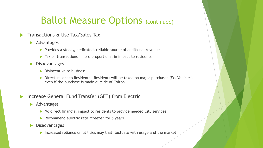#### **Ballot Measure Options (continued)**

- Transactions & Use Tax/Sales Tax
	- **Advantages** 
		- $\blacktriangleright$  Provides a steady, dedicated, reliable source of additional revenue
		- $\triangleright$  Tax on transactions more proportional in impact to residents
	- **Disadvantages** 
		- $\blacktriangleright$  Disincentive to business
		- ▶ Direct Impact to Residents Residents will be taxed on major purchases (Ex. Vehicles) even if the purchase is made outside of Colton
- **Increase General Fund Transfer (GFT) from Electric** 
	- **Advantages** 
		- $\triangleright$  No direct financial impact to residents to provide needed City services
		- Recommend electric rate "freeze" for 5 years
	- **Disadvantages** 
		- Increased reliance on utilities may that fluctuate with usage and the market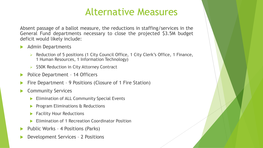#### Alternative Measures

Absent passage of a ballot measure, the reductions in staffing/services in the General Fund departments necessary to close the projected \$3.5M budget deficit would likely include:

- Admin Departments
	- ▶ Reduction of 5 positions (1 City Council Office, 1 City Clerk's Office, 1 Finance, 1 Human Resources, 1 Information Technology)
	- $\triangleright$  \$50K Reduction in City Attorney Contract
- ▶ Police Department 14 Officers
- Fire Department 9 Positions (Closure of 1 Fire Station)
- **Community Services** 
	- Elimination of ALL Community Special Events
	- Program Eliminations & Reductions
	- Facility Hour Reductions
	- Elimination of 1 Recreation Coordinator Position
- Public Works 4 Positions (Parks)
- Development Services 2 Positions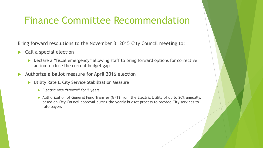# Finance Committee Recommendation

Bring forward resolutions to the November 3, 2015 City Council meeting to:

- Call a special election
	- Declare a "fiscal emergency" allowing staff to bring forward options for corrective action to close the current budget gap
- Authorize a ballot measure for April 2016 election
	- Utility Rate & City Service Stabilization Measure
		- Electric rate "freeze" for 5 years
		- Authorization of General Fund Transfer (GFT) from the Electric Utility of up to 20% annually, based on City Council approval during the yearly budget process to provide City services to rate payers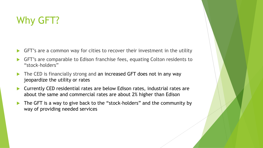# Why GFT?

- GFT's are a common way for cities to recover their investment in the utility
- GFT's are comparable to Edison franchise fees, equating Colton residents to "stock-holders"
- The CED is financially strong and an increased GFT does not in any way jeopardize the utility or rates
- Currently CED residential rates are below Edison rates, industrial rates are about the same and commercial rates are about 2% higher than Edison
- The GFT is a way to give back to the "stock-holders" and the community by way of providing needed services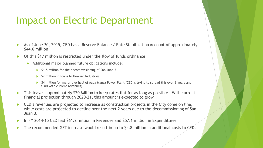# Impact on Electric Department

- As of June 30, 2015, CED has a Reserve Balance / Rate Stabilization Account of approximately \$44.6 million
- Of this \$17 million is restricted under the flow of funds ordinance
	- Additional major planned future obligations include:
		- $\triangleright$  \$1.5 million for the decommissioning of San Juan 3
		- \$2 million in loans to Howard Industries
		- \$4 million for major overhaul of Agua Mansa Power Plant (CED is trying to spread this over 3 years and fund with current revenues)
- This leaves approximately \$20 Million to keep rates flat for as long as possible With current financial projection through 2020-21, this amount is expected to grow
- CED's revenues are projected to increase as construction projects in the City come on line, while costs are projected to decline over the next 2 years due to the decommissioning of San Juan 3.
- In FY 2014-15 CED had \$61.2 million in Revenues and \$57.1 million in Expenditures
- The recommended GFT increase would result in up to \$4.8 million in additional costs to CED.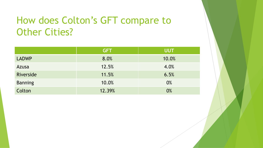# How does Colton's GFT compare to Other Cities?

|                | <b>GFT</b> | <b>UUT</b> |
|----------------|------------|------------|
| <b>LADWP</b>   | 8.0%       | 10.0%      |
| Azusa          | 12.5%      | 4.0%       |
| Riverside      | 11.5%      | 6.5%       |
| <b>Banning</b> | 10.0%      | $0\%$      |
| Colton         | 12.39%     | 0%         |